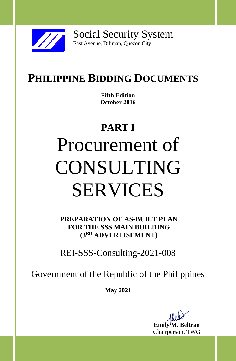

Social Security System East Avenue, Diliman, Quezon City

# **PHILIPPINE BIDDING DOCUMENTS**

**Fifth Edition October 2016**

# **PART I** Procurement of CONSULTING SERVICES

**PREPARATION OF AS-BUILT PLAN FOR THE SSS MAIN BUILDING (3RD ADVERTISEMENT)**

REI-SSS-Consulting-2021-008

Government of the Republic of the Philippines

**May 2021**

--------------------------------------------------------------------------------------------------------------------------------------- **Emi** Chairperson, TWG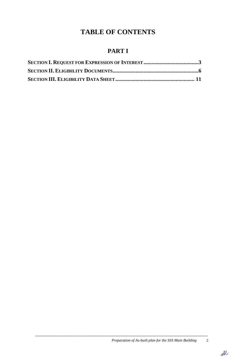## **TABLE OF CONTENTS**

### **PART I**

*Preparation of As-built plan for the SSS Main Building* 2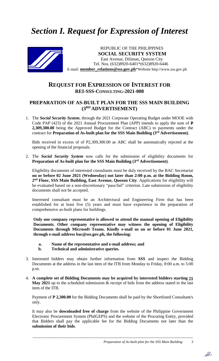## *Section I. Request for Expression of Interest*



East Avenue, Diliman, Quezon City<br>Tel. Nos. (632)8920-6401\*(632)8920-6446 REPUBLIC OF THE PHILIPPINES **SOCIAL SECURITY SYSTEM** East Avenue, Diliman, Quezon City E-mail: **member\_relations@sss.gov.ph**\*Website http://www.sss.gov.ph

#### **REQUEST FOR EXPRESSION OF INTEREST FOR REI-SSS-CONSULTING-2021-008**

#### **PREPARATION OF AS-BUILT PLAN FOR THE SSS MAIN BUILDING (3RD ADVERTISEMENT)**

1. The *Social Security System*, through the 2021 Corporate Operating Budget under MOOE with Code PAP (423) of the 2021 Annual Procurement Plan (APP) intends to apply the sum of **P 2,309,300.00** being the Approved Budget for the Contract (ABC) to payments under the contract for **Preparation of As-built plan for the SSS Main Building (3rd Advertisement)**.

Bids received in excess of of P2,309,300.00 as ABC shall be automatically rejected at the opening of the financial proposals.

2. The *Social Security System* now calls for the submission of eligibility documents for **Preparation of As-built plan for the SSS Main Building (3rd Advertisement)**.

Eligibility documents of interested consultants must be duly received by the BAC Secretariat **on or before 02 June 2021 (Wednesday) not later than 2:00 p.m. at the Bidding Room, 2 nd Floor, SSS Main Building, East Avenue, Quezon City***.* Applications for eligibility will be evaluated based on a non-discretionary "pass/fail" criterion. Late submission of eligibility documents shall not be accepted.

Interested consultant must be an Architectural and Engineering Firm that has been established for at least five (5) years and must have experience in the preparation of comprehensive as-built plans for buildings.

**Only one company representative is allowed to attend the manual opening of Eligibility Documents. Other company representative may witness the opening of Eligibility Documents through Microsoft Teams. Kindly e-mail us on or before 01 June 2021, through e-mail address bac@sss.gov.ph, the following:**

- **a. Name of the representative and e-mail address; and**
- **b. Technical and administrative queries.**
- 3. Interested bidders may obtain further information from *SSS* and inspect the Bidding Documents at the address in the last item of the ITB from Monday to Friday, 8:00 a.m. to 5:00 p.m.
- 4. **A complete set of Bidding Documents may be acquired by interested bidders starting 20 May 2021** up to the scheduled submission & receipt of bids from the address stated in the last item of the ITB.

Payment of **P 2,300.00** for the Bidding Documents shall be paid by the Shortlisted Consultant/s only.

It may also be **downloaded free of charge** from the website of the Philippine Government Electronic Procurement System (PhilGEPS) and the website of the Procuring Entity*,* provided that Bidders shall pay the applicable fee for the Bidding Documents not later than the **submission of their bids**.

--------------------------------------------------------------------------------------------------------------------------------------- *Preparation of As-built plan for the SSS Main Building* 3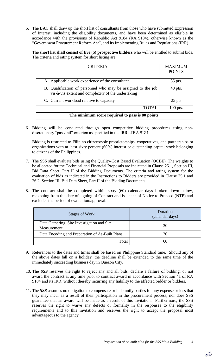5. The BAC shall draw up the short list of consultants from those who have submitted Expression of Interest, including the eligibility documents, and have been determined as eligible in accordance with the provisions of Republic Act 9184 (RA 9184), otherwise known as the "Government Procurement Reform Act", and its Implementing Rules and Regulations (IRR).

The **short list shall consist of five (5) prospective bidders** who will be entitled to submit bids. The criteria and rating system for short listing are:

| <b>CRITERIA</b>                                                                                                    | <b>MAXIMUM</b><br><b>POINTS</b> |
|--------------------------------------------------------------------------------------------------------------------|---------------------------------|
| A. Applicable work experience of the consultant                                                                    | 35 pts.                         |
| B. Qualification of personnel who may be assigned to the job<br>vis-à-vis extent and complexity of the undertaking | $40$ pts.                       |
| C. Current workload relative to capacity                                                                           | 25 pts                          |
| <b>TOTAL</b>                                                                                                       | $100$ pts.                      |
| The minimum score required to pass is 80 points.                                                                   |                                 |

6. Bidding will be conducted through open competitive bidding procedures using nondiscretionary "pass/fail" criterion as specified in the IRR of RA 9184.

Bidding is restricted to Filipino citizens/sole proprietorships, cooperatives, and partnerships or organizations with at least sixty percent (60%) interest or outstanding capital stock belonging to citizens of the Philippines.

- 7. The SSS shall evaluate bids using the Quality-Cost Based Evaluation (QCBE). The weights to be allocated for the Technical and Financial Proposals are indicated in Clause 25.1, Section III, Bid Data Sheet, Part II of the Bidding Documents. The criteria and rating system for the evaluation of bids as indicated in the Instructions to Bidders are provided in Clause 25.1 and 26.2, Section III, Bid Data Sheet, Part II of the Bidding Documents.
- 8. The contract shall be completed within sixty (60) calendar days broken down below, reckoning from the date of signing of Contract and issuance of Notice to Proceed (NTP) and excludes the period of evaluation/approval:

| Stages of Work                                             | Duration<br>(calendar days) |
|------------------------------------------------------------|-----------------------------|
| Data Gathering, Site Investigation and Site<br>Measurement | 30                          |
| Data Encoding and Preparation of As-Built Plans            | 30                          |
| Total                                                      | nı                          |

- 9. References to the dates and times shall be based on Philippine Standard time. Should any of the above dates fall on a holiday, the deadline shall be extended to the same time of the immediately succeeding business day in Quezon City.
- 10. The *SSS* reserves the right to reject any and all bids, declare a failure of bidding, or not award the contract at any time prior to contract award in accordance with Section 41 of RA 9184 and its IRR, without thereby incurring any liability to the affected bidder or bidders.
- 11. The *SSS* assumes no obligation to compensate or indemnify parties for any expense or loss that they may incur as a result of their participation in the procurement process, nor does SSS guarantee that an award will be made as a result of this invitation. Furthermore, the SSS reserves the right to waive any defects or formality in the responses to the eligibility requirements and to this invitation and reserves the right to accept the proposal most advantageous to the agency.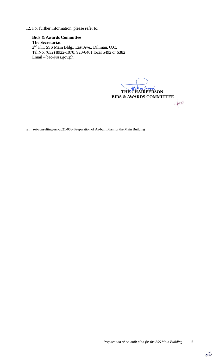12. For further information, please refer to:

**Bids & Awards Committee The Secretariat** 2<sup>nd</sup> Flr., SSS Main Bldg., East Ave., Diliman, Q.C. Tel No. (632) 8922-1070; 920-6401 local 5492 or 6382 Email – bac@sss.gov.ph

 **THE CHAIRPERSON BIDS & AWARDS COMMITTEE** In

ref.: rei-consulting-sss-2021-008- Preparation of As-built Plan for the Main Building

---------------------------------------------------------------------------------------------------------------------------------------

 $e$ bl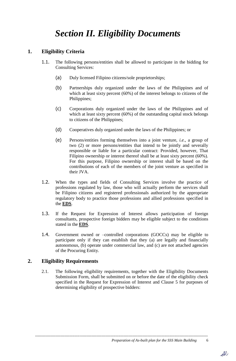## *Section II. Eligibility Documents*

#### **1. Eligibility Criteria**

- 1.1. The following persons/entities shall be allowed to participate in the bidding for Consulting Services:
	- (a) Duly licensed Filipino citizens/sole proprietorships;
	- (b) Partnerships duly organized under the laws of the Philippines and of which at least sixty percent (60%) of the interest belongs to citizens of the Philippines;
	- (c) Corporations duly organized under the laws of the Philippines and of which at least sixty percent (60%) of the outstanding capital stock belongs to citizens of the Philippines;
	- (d) Cooperatives duly organized under the laws of the Philippines; or
	- (e) Persons/entities forming themselves into a joint venture, *i.e.*, a group of two (2) or more persons/entities that intend to be jointly and severally responsible or liable for a particular contract: Provided, however, That Filipino ownership or interest thereof shall be at least sixty percent (60%). For this purpose, Filipino ownership or interest shall be based on the contributions of each of the members of the joint venture as specified in their JVA.
- 1.2. When the types and fields of Consulting Services involve the practice of professions regulated by law, those who will actually perform the services shall be Filipino citizens and registered professionals authorized by the appropriate regulatory body to practice those professions and allied professions specified in the **EDS**.
- 1.3. If the Request for Expression of Interest allows participation of foreign consultants, prospective foreign bidders may be eligible subject to the conditions stated in the **EDS**.
- 1.4. Government owned or –controlled corporations (GOCCs) may be eligible to participate only if they can establish that they (a) are legally and financially autonomous, (b) operate under commercial law, and (c) are not attached agencies of the Procuring Entity.

#### **2. Eligibility Requirements**

2.1. The following eligibility requirements, together with the Eligibility Documents Submission Form, shall be submitted on or before the date of the eligibility check specified in the Request for Expression of Interest and Clause 5 for purposes of determining eligibility of prospective bidders:

---------------------------------------------------------------------------------------------------------------------------------------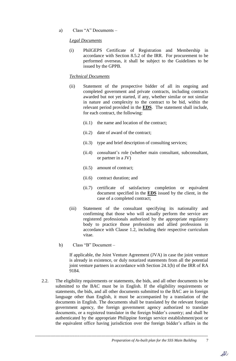a) Class "A" Documents –

#### *Legal Documents*

(i) PhilGEPS Certificate of Registration and Membership in accordance with Section 8.5.2 of the IRR. For procurement to be performed overseas, it shall be subject to the Guidelines to be issued by the GPPB.

#### *Technical Documents*

- (ii) Statement of the prospective bidder of all its ongoing and completed government and private contracts, including contracts awarded but not yet started, if any, whether similar or not similar in nature and complexity to the contract to be bid, within the relevant period provided in the **EDS**. The statement shall include, for each contract, the following:
	- (ii.1) the name and location of the contract;
	- (ii.2) date of award of the contract;
	- (ii.3) type and brief description of consulting services;
	- (ii.4) consultant's role (whether main consultant, subconsultant, or partner in a JV)
	- (ii.5) amount of contract;
	- (ii.6) contract duration; and
	- (ii.7) certificate of satisfactory completion or equivalent document specified in the **EDS** issued by the client, in the case of a completed contract;
- (iii) Statement of the consultant specifying its nationality and confirming that those who will actually perform the service are registered professionals authorized by the appropriate regulatory body to practice those professions and allied professions in accordance with Clause 1.2, including their respective curriculum vitae.
- b) Class "B" Document –

If applicable, the Joint Venture Agreement (JVA) in case the joint venture is already in existence, or duly notarized statements from all the potential joint venture partners in accordance with Section 24.1(b) of the IRR of RA 9184.

2.2. The eligibility requirements or statements, the bids, and all other documents to be submitted to the BAC must be in English. If the eligibility requirements or statements, the bids, and all other documents submitted to the BAC are in foreign language other than English, it must be accompanied by a translation of the documents in English. The documents shall be translated by the relevant foreign government agency, the foreign government agency authorized to translate documents, or a registered translator in the foreign bidder's country; and shall be authenticated by the appropriate Philippine foreign service establishment/post or the equivalent office having jurisdiction over the foreign bidder's affairs in the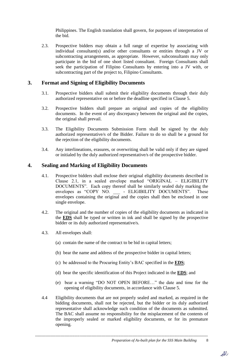Philippines. The English translation shall govern, for purposes of interpretation of the bid.

2.3. Prospective bidders may obtain a full range of expertise by associating with individual consultant(s) and/or other consultants or entities through a JV or subcontracting arrangements, as appropriate. However, subconsultants may only participate in the bid of one short listed consultant. Foreign Consultants shall seek the participation of Filipino Consultants by entering into a JV with, or subcontracting part of the project to, Filipino Consultants.

#### **3. Format and Signing of Eligibility Documents**

- 3.1. Prospective bidders shall submit their eligibility documents through their duly authorized representative on or before the deadline specified in Clause 5.
- 3.2. Prospective bidders shall prepare an original and copies of the eligibility documents. In the event of any discrepancy between the original and the copies, the original shall prevail.
- 3.3. The Eligibility Documents Submission Form shall be signed by the duly authorized representative/s of the Bidder. Failure to do so shall be a ground for the rejection of the eligibility documents.
- 3.4. Any interlineations, erasures, or overwriting shall be valid only if they are signed or initialed by the duly authorized representative/s of the prospective bidder.

#### **4. Sealing and Marking of Eligibility Documents**

- 4.1. Prospective bidders shall enclose their original eligibility documents described in Clause 2.1, in a sealed envelope marked "ORIGINAL – ELIGIBILITY DOCUMENTS". Each copy thereof shall be similarly sealed duly marking the envelopes as "COPY NO. - ELIGIBILITY DOCUMENTS". These envelopes containing the original and the copies shall then be enclosed in one single envelope.
- 4.2. The original and the number of copies of the eligibility documents as indicated in the **EDS** shall be typed or written in ink and shall be signed by the prospective bidder or its duly authorized representative/s.
- 4.3. All envelopes shall:
	- (a) contain the name of the contract to be bid in capital letters;
	- (b) bear the name and address of the prospective bidder in capital letters;
	- (c) be addressed to the Procuring Entity's BAC specified in the **EDS**;
	- (d) bear the specific identification of this Project indicated in the **EDS**; and
	- (e) bear a warning "DO NOT OPEN BEFORE…" the date and time for the opening of eligibility documents, in accordance with Clause 5.
- 4.4 Eligibility documents that are not properly sealed and marked, as required in the bidding documents, shall not be rejected, but the bidder or its duly authorized representative shall acknowledge such condition of the documents as submitted. The BAC shall assume no responsibility for the misplacement of the contents of the improperly sealed or marked eligibility documents, or for its premature opening.

---------------------------------------------------------------------------------------------------------------------------------------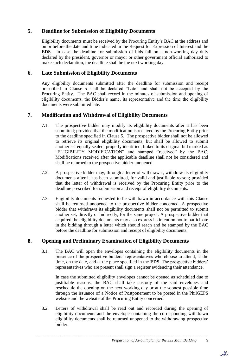#### **5. Deadline for Submission of Eligibility Documents**

Eligibility documents must be received by the Procuring Entity's BAC at the address and on or before the date and time indicated in the Request for Expression of Interest and the **EDS**. In case the deadline for submission of bids fall on a non-working day duly declared by the president, governor or mayor or other government official authorized to make such declaration, the deadline shall be the next working day.

#### **6. Late Submission of Eligibility Documents**

Any eligibility documents submitted after the deadline for submission and receipt prescribed in Clause 5 shall be declared "Late" and shall not be accepted by the Procuring Entity. The BAC shall record in the minutes of submission and opening of eligibility documents, the Bidder's name, its representative and the time the eligibility documents were submitted late.

#### **7. Modification and Withdrawal of Eligibility Documents**

- 7.1. The prospective bidder may modify its eligibility documents after it has been submitted; provided that the modification is received by the Procuring Entity prior to the deadline specified in Clause 5. The prospective bidder shall not be allowed to retrieve its original eligibility documents, but shall be allowed to submit another set equally sealed, properly identified, linked to its original bid marked as "ELIGIBILITY MODIFICATION" and stamped "received" by the BAC. Modifications received after the applicable deadline shall not be considered and shall be returned to the prospective bidder unopened.
- 7.2. A prospective bidder may, through a letter of withdrawal, withdraw its eligibility documents after it has been submitted, for valid and justifiable reason; provided that the letter of withdrawal is received by the Procuring Entity prior to the deadline prescribed for submission and receipt of eligibility documents.
- 7.3. Eligibility documents requested to be withdrawn in accordance with this Clause shall be returned unopened to the prospective bidder concerned. A prospective bidder that withdraws its eligibility documents shall not be permitted to submit another set, directly or indirectly, for the same project. A prospective bidder that acquired the eligibility documents may also express its intention not to participate in the bidding through a letter which should reach and be stamped by the BAC before the deadline for submission and receipt of eligibility documents.

#### **8. Opening and Preliminary Examination of Eligibility Documents**

8.1. The BAC will open the envelopes containing the eligibility documents in the presence of the prospective bidders' representatives who choose to attend, at the time, on the date, and at the place specified in the **EDS**. The prospective bidders' representatives who are present shall sign a register evidencing their attendance.

In case the submitted eligibility envelopes cannot be opened as scheduled due to justifiable reasons, the BAC shall take custody of the said envelopes and reschedule the opening on the next working day or at the soonest possible time through the issuance of a Notice of Postponement to be posted in the PhilGEPS website and the website of the Procuring Entity concerned.

8.2. Letters of withdrawal shall be read out and recorded during the opening of eligibility documents and the envelope containing the corresponding withdrawn eligibility documents shall be returned unopened to the withdrawing prospective bidder.

---------------------------------------------------------------------------------------------------------------------------------------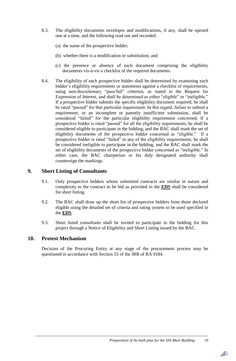- 8.3. The eligibility documents envelopes and modifications, if any, shall be opened one at a time, and the following read out and recorded:
	- (a) the name of the prospective bidder;
	- (b) whether there is a modification or substitution; and
	- (c) the presence or absence of each document comprising the eligibility documents vis-à-vis a checklist of the required documents.
- 8.4. The eligibility of each prospective bidder shall be determined by examining each bidder's eligibility requirements or statements against a checklist of requirements, using non-discretionary "pass/fail" criterion, as stated in the Request for Expression of Interest, and shall be determined as either "eligible" or "ineligible." If a prospective bidder submits the specific eligibility document required, he shall be rated "passed" for that particular requirement. In this regard, failure to submit a requirement, or an incomplete or patently insufficient submission, shall be considered "failed" for the particular eligibility requirement concerned. If a prospective bidder is rated "passed" for all the eligibility requirements, he shall be considered eligible to participate in the bidding, and the BAC shall mark the set of eligibility documents of the prospective bidder concerned as "eligible." If a prospective bidder is rated "failed" in any of the eligibility requirements, he shall be considered ineligible to participate in the bidding, and the BAC shall mark the set of eligibility documents of the prospective bidder concerned as "ineligible." In either case, the BAC chairperson or his duly designated authority shall countersign the markings.

#### **9. Short Listing of Consultants**

- 9.1. Only prospective bidders whose submitted contracts are similar in nature and complexity to the contract to be bid as provided in the **EDS** shall be considered for short listing.
- 9.2. The BAC shall draw up the short list of prospective bidders from those declared eligible using the detailed set of criteria and rating system to be used specified in the **EDS**.
- 9.3. Short listed consultants shall be invited to participate in the bidding for this project through a Notice of Eligibility and Short Listing issued by the BAC.

#### **10. Protest Mechanism**

Decision of the Procuring Entity at any stage of the procurement process may be questioned in accordance with Section 55 of the IRR of RA 9184.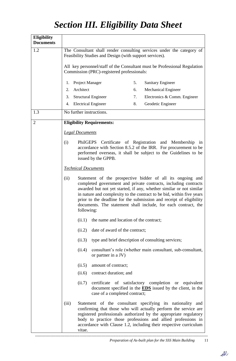## *Section III. Eligibility Data Sheet*

| <b>Eligibility</b><br><b>Documents</b> |                                                                                                                                                                                                                            |                                                                                              |                                                                                                                                                                                                                                                                                                                                                                                                                                      |    |                                                    |  |  |
|----------------------------------------|----------------------------------------------------------------------------------------------------------------------------------------------------------------------------------------------------------------------------|----------------------------------------------------------------------------------------------|--------------------------------------------------------------------------------------------------------------------------------------------------------------------------------------------------------------------------------------------------------------------------------------------------------------------------------------------------------------------------------------------------------------------------------------|----|----------------------------------------------------|--|--|
| 1.2                                    | The Consultant shall render consulting services under the category of<br>Feasibility Studies and Design (with support services).                                                                                           |                                                                                              |                                                                                                                                                                                                                                                                                                                                                                                                                                      |    |                                                    |  |  |
|                                        | All key personnel/staff of the Consultant must be Professional Regulation<br>Commission (PRC)-registered professionals:                                                                                                    |                                                                                              |                                                                                                                                                                                                                                                                                                                                                                                                                                      |    |                                                    |  |  |
|                                        | 1.                                                                                                                                                                                                                         | Project Manager                                                                              |                                                                                                                                                                                                                                                                                                                                                                                                                                      | 5. | <b>Sanitary Engineer</b>                           |  |  |
|                                        | 2.                                                                                                                                                                                                                         | Architect                                                                                    |                                                                                                                                                                                                                                                                                                                                                                                                                                      | 6. | Mechanical Engineer                                |  |  |
|                                        | 3.                                                                                                                                                                                                                         |                                                                                              | <b>Structural Engineer</b>                                                                                                                                                                                                                                                                                                                                                                                                           | 7. | Electronics & Comm. Engineer                       |  |  |
|                                        | 4.                                                                                                                                                                                                                         |                                                                                              | <b>Electrical Engineer</b>                                                                                                                                                                                                                                                                                                                                                                                                           | 8. | Geodetic Engineer                                  |  |  |
| 1.3                                    |                                                                                                                                                                                                                            |                                                                                              | No further instructions.                                                                                                                                                                                                                                                                                                                                                                                                             |    |                                                    |  |  |
| $\overline{2}$                         |                                                                                                                                                                                                                            |                                                                                              | <b>Eligibility Requirements:</b>                                                                                                                                                                                                                                                                                                                                                                                                     |    |                                                    |  |  |
|                                        |                                                                                                                                                                                                                            | <b>Legal Documents</b>                                                                       |                                                                                                                                                                                                                                                                                                                                                                                                                                      |    |                                                    |  |  |
|                                        | (i)<br>PhilGEPS Certificate of Registration and Membership in<br>accordance with Section 8.5.2 of the IRR. For procurement to be<br>performed overseas, it shall be subject to the Guidelines to be<br>issued by the GPPB. |                                                                                              |                                                                                                                                                                                                                                                                                                                                                                                                                                      |    |                                                    |  |  |
|                                        |                                                                                                                                                                                                                            |                                                                                              | <b>Technical Documents</b>                                                                                                                                                                                                                                                                                                                                                                                                           |    |                                                    |  |  |
|                                        | (ii)                                                                                                                                                                                                                       |                                                                                              | Statement of the prospective bidder of all its ongoing and<br>completed government and private contracts, including contracts<br>awarded but not yet started, if any, whether similar or not similar<br>in nature and complexity to the contract to be bid, within five years<br>prior to the deadline for the submission and receipt of eligibility<br>documents. The statement shall include, for each contract, the<br>following: |    |                                                    |  |  |
|                                        |                                                                                                                                                                                                                            | (ii.1)                                                                                       | the name and location of the contract;                                                                                                                                                                                                                                                                                                                                                                                               |    |                                                    |  |  |
|                                        |                                                                                                                                                                                                                            | (ii.2)                                                                                       | date of award of the contract;                                                                                                                                                                                                                                                                                                                                                                                                       |    |                                                    |  |  |
|                                        |                                                                                                                                                                                                                            | (ii.3)                                                                                       |                                                                                                                                                                                                                                                                                                                                                                                                                                      |    | type and brief description of consulting services; |  |  |
|                                        |                                                                                                                                                                                                                            | consultant's role (whether main consultant, sub-consultant,<br>(ii.4)<br>or partner in a JV) |                                                                                                                                                                                                                                                                                                                                                                                                                                      |    |                                                    |  |  |
|                                        |                                                                                                                                                                                                                            | (ii.5)                                                                                       | amount of contract;                                                                                                                                                                                                                                                                                                                                                                                                                  |    |                                                    |  |  |
|                                        | contract duration; and<br>(ii.6)                                                                                                                                                                                           |                                                                                              |                                                                                                                                                                                                                                                                                                                                                                                                                                      |    |                                                    |  |  |
|                                        | certificate of satisfactory completion or equivalent<br>(ii.7)<br>document specified in the <b>EDS</b> issued by the client, in the<br>case of a completed contract;                                                       |                                                                                              |                                                                                                                                                                                                                                                                                                                                                                                                                                      |    |                                                    |  |  |
|                                        | (iii)                                                                                                                                                                                                                      | vitae.                                                                                       | Statement of the consultant specifying its nationality and<br>confirming that those who will actually perform the service are<br>registered professionals authorized by the appropriate regulatory<br>body to practice those professions and allied professions in<br>accordance with Clause 1.2, including their respective curriculum                                                                                              |    |                                                    |  |  |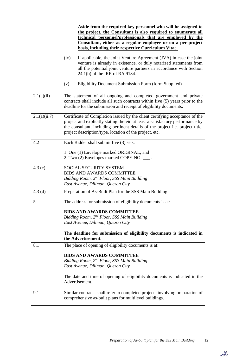|              | Aside from the required key personnel who will be assigned to<br>the project, the Consultant is also required to enumerate all<br>technical personnel/professionals that are employed by the<br>Consultant, either as a regular employee or on a per-project<br>basis, including their respective Curriculum Vitae. |  |  |  |  |  |  |
|--------------|---------------------------------------------------------------------------------------------------------------------------------------------------------------------------------------------------------------------------------------------------------------------------------------------------------------------|--|--|--|--|--|--|
|              | If applicable, the Joint Venture Agreement (JVA) in case the joint<br>(iv)<br>venture is already in existence, or duly notarized statements from<br>all the potential joint venture partners in accordance with Section<br>24.1(b) of the IRR of RA 9184.                                                           |  |  |  |  |  |  |
|              | Eligibility Document Submission Form (form Supplied)<br>(v)                                                                                                                                                                                                                                                         |  |  |  |  |  |  |
| 2.1(a)(ii)   | The statement of all ongoing and completed government and private<br>contracts shall include all such contracts within five (5) years prior to the<br>deadline for the submission and receipt of eligibility documents.                                                                                             |  |  |  |  |  |  |
| 2.1(a)(ii.7) | Certificate of Completion issued by the client certifying acceptance of the<br>project and explicitly stating therein at least a satisfactory performance by<br>the consultant, including pertinent details of the project i.e. project title,<br>project description/type, location of the project, etc.           |  |  |  |  |  |  |
| 4.2          | Each Bidder shall submit five (3) sets.<br>1. One (1) Envelope marked ORIGINAL; and<br>2. Two (2) Envelopes marked COPY NO. ____.                                                                                                                                                                                   |  |  |  |  |  |  |
| 4.3(c)       | SOCIAL SECURITY SYSTEM<br><b>BIDS AND AWARDS COMMITTEE</b><br>Bidding Room, 2nd Floor, SSS Main Building<br>East Avenue, Diliman, Quezon City                                                                                                                                                                       |  |  |  |  |  |  |
| $4.3$ (d)    | Preparation of As-Built Plan for the SSS Main Building                                                                                                                                                                                                                                                              |  |  |  |  |  |  |
| 5            | The address for submission of eligibility documents is at:<br><b>BIDS AND AWARDS COMMITTEE</b><br>Bidding Room, 2 <sup>nd</sup> Floor, SSS Main Building<br>East Avenue, Diliman, Quezon City                                                                                                                       |  |  |  |  |  |  |
|              | The deadline for submission of eligibility documents is indicated in<br>the Advertisement.                                                                                                                                                                                                                          |  |  |  |  |  |  |
| 8.1          | The place of opening of eligibility documents is at:                                                                                                                                                                                                                                                                |  |  |  |  |  |  |
|              | <b>BIDS AND AWARDS COMMITTEE</b><br>Bidding Room, 2 <sup>nd</sup> Floor, SSS Main Building<br>East Avenue, Diliman, Quezon City                                                                                                                                                                                     |  |  |  |  |  |  |
|              | The date and time of opening of eligibility documents is indicated in the<br>Advertisement.                                                                                                                                                                                                                         |  |  |  |  |  |  |
| 9.1          | Similar contracts shall refer to completed projects involving preparation of<br>comprehensive as-built plans for multilevel buildings.                                                                                                                                                                              |  |  |  |  |  |  |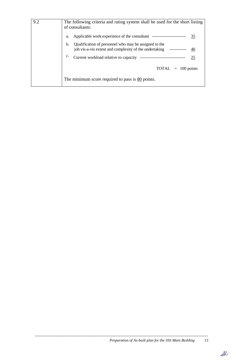| 9.2 | The following criteria and rating system shall be used for the short listing<br>of consultants:                                          |
|-----|------------------------------------------------------------------------------------------------------------------------------------------|
|     | 35<br>a.                                                                                                                                 |
|     | Qualification of personnel who may be assigned to the<br>b.<br>job vis-a-vis extent and complexity of the undertaking ------------<br>40 |
|     | $\mathbf{c}$ .<br>Current workload relative to capacity ------------<br><u>25</u>                                                        |
|     | $\text{TOTAL}$ = 100 points                                                                                                              |
|     | The minimum score required to pass is $80$ points.                                                                                       |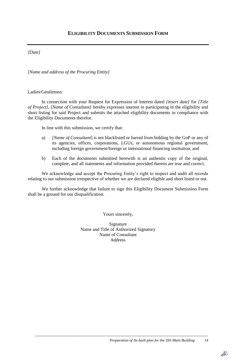#### *[Date]*

*[Name and address of the Procuring Entity]*

Ladies/Gentlemen:

In connection with your Request for Expression of Interest dated *[insert date]* for *[Title of Project]*, *[Name of Consultant]* hereby expresses interest in participating in the eligibility and short listing for said Project and submits the attached eligibility documents in compliance with the Eligibility Documents therefor.

In line with this submission, we certify that:

- a) *[Name of Consultant*] is not blacklisted or barred from bidding by the GoP or any of its agencies, offices, corporations, LGUs, or autonomous regional government, including foreign government/foreign or international financing institution; and
- b) Each of the documents submitted herewith is an authentic copy of the original, complete, and all statements and information provided therein are true and correct.

We acknowledge and accept the Procuring Entity's right to inspect and audit all records relating to our submission irrespective of whether we are declared eligible and short listed or not.

We further acknowledge that failure to sign this Eligibility Document Submission Form shall be a ground for our disqualification.

Yours sincerely,

Signature Name and Title of Authorized Signatory Name of Consultant Address

---------------------------------------------------------------------------------------------------------------------------------------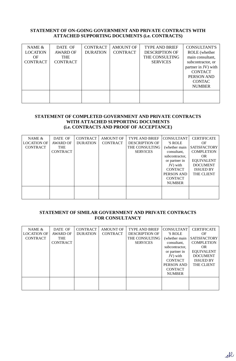#### **STATEMENT OF ON-GOING GOVERNMENT AND PRIVATE CONTRACTS WITH ATTACHED SUPPORTING DOCUMENTS (i.e. CONTRACTS)**

| NAME $&$<br><b>LOCATION</b><br>OF<br><b>CONTRACT</b> | DATE OF<br>AWARD OF<br><b>THE</b><br><b>CONTRACT</b> | <b>CONTRACT</b><br><b>DURATION</b> | <b>AMOUNT OF</b><br><b>CONTRACT</b> | <b>TYPE AND BRIEF</b><br><b>DESCRIPTION OF</b><br>THE CONSULTING<br><b>SERVICES</b> | <b>CONSULTANT'S</b><br>ROLE (whether<br>main consultant,<br>subcontractor, or<br>partner in JV) with<br><b>CONTACT</b><br>PERSON AND<br><b>CONTAC</b><br><b>NUMBER</b> |
|------------------------------------------------------|------------------------------------------------------|------------------------------------|-------------------------------------|-------------------------------------------------------------------------------------|------------------------------------------------------------------------------------------------------------------------------------------------------------------------|
|                                                      |                                                      |                                    |                                     |                                                                                     |                                                                                                                                                                        |

#### **STATEMENT OF COMPLETED GOVERNMENT AND PRIVATE CONTRACTS WITH ATTACHED SUPPORTING DOCUMENTS (i.e. CONTRACTS AND PROOF OF ACCEPTANCE)**

| NAME &<br><b>LOCATION OF</b><br><b>CONTRACT</b> | DATE OF<br><b>AWARD OF</b><br><b>THE</b><br><b>CONTRACT</b> | <b>CONTRACT</b><br><b>DURATION</b> | <b>AMOUNT OF</b><br><b>CONTRACT</b> | <b>TYPE AND BRIEF</b><br><b>DESCRIPTION OF</b><br>THE CONSULTING<br><b>SERVICES</b> | <b>CONSULTANT</b><br>'S ROLE<br>(whether main<br>consultant,<br>subcontractor,<br>or partner in<br>JV) with<br><b>CONTACT</b><br>PERSON AND<br><b>CONTACT</b><br><b>NUMBER</b> | <b>CERTIFICATE</b><br>OF<br><b>SATISFACTORY</b><br><b>COMPLETION</b><br>OR.<br><b>EQUIVALENT</b><br><b>DOCUMENT</b><br><b>ISSUED BY</b><br><b>THE CLIENT</b> |
|-------------------------------------------------|-------------------------------------------------------------|------------------------------------|-------------------------------------|-------------------------------------------------------------------------------------|--------------------------------------------------------------------------------------------------------------------------------------------------------------------------------|--------------------------------------------------------------------------------------------------------------------------------------------------------------|
|                                                 |                                                             |                                    |                                     |                                                                                     |                                                                                                                                                                                |                                                                                                                                                              |

#### **STATEMENT OF SIMILAR GOVERNMENT AND PRIVATE CONTRACTS FOR CONSULTANCY**

| NAME $&$<br><b>LOCATION OF</b><br><b>CONTRACT</b> | DATE OF<br>AWARD OF<br><b>THE</b><br><b>CONTRACT</b> | <b>CONTRACT</b><br><b>DURATION</b> | <b>AMOUNT OF</b><br><b>CONTRACT</b> | <b>TYPE AND BRIEF</b><br><b>DESCRIPTION OF</b><br>THE CONSULTING<br><b>SERVICES</b> | <b>CONSULTANT</b><br>'S ROLE<br>(whether main<br>consultant,<br>subcontractor,<br>or partner in<br>JV) with<br><b>CONTACT</b><br>PERSON AND<br><b>CONTACT</b><br><b>NUMBER</b> | <b>CERTIFICATE</b><br>OF<br><b>SATISFACTORY</b><br><b>COMPLETION</b><br>OR.<br><b>EQUIVALENT</b><br><b>DOCUMENT</b><br><b>ISSUED BY</b><br><b>THE CLIENT</b> |
|---------------------------------------------------|------------------------------------------------------|------------------------------------|-------------------------------------|-------------------------------------------------------------------------------------|--------------------------------------------------------------------------------------------------------------------------------------------------------------------------------|--------------------------------------------------------------------------------------------------------------------------------------------------------------|
|                                                   |                                                      |                                    |                                     |                                                                                     |                                                                                                                                                                                |                                                                                                                                                              |